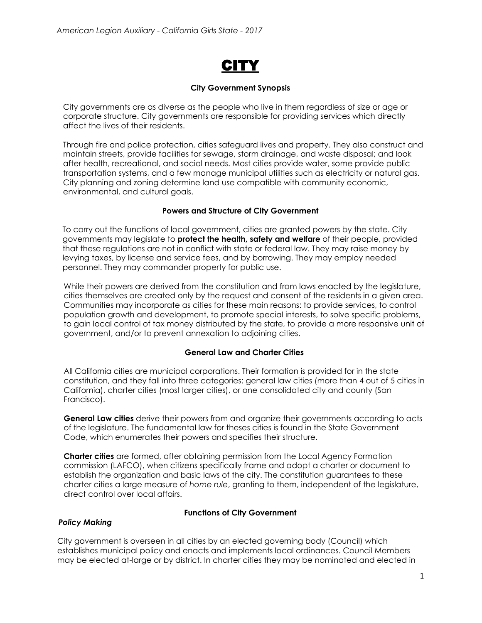

## **City Government Synopsis**

City governments are as diverse as the people who live in them regardless of size or age or corporate structure. City governments are responsible for providing services which directly affect the lives of their residents.

Through fire and police protection, cities safeguard lives and property. They also construct and maintain streets, provide facilities for sewage, storm drainage, and waste disposal; and look after health, recreational, and social needs. Most cities provide water, some provide public transportation systems, and a few manage municipal utilities such as electricity or natural gas. City planning and zoning determine land use compatible with community economic, environmental, and cultural goals.

# **Powers and Structure of City Government**

To carry out the functions of local government, cities are granted powers by the state. City governments may legislate to **protect the health, safety and welfare** of their people, provided that these regulations are not in conflict with state or federal law. They may raise money by levying taxes, by license and service fees, and by borrowing. They may employ needed personnel. They may commander property for public use.

While their powers are derived from the constitution and from laws enacted by the legislature, cities themselves are created only by the request and consent of the residents in a given area. Communities may incorporate as cities for these main reasons: to provide services, to control population growth and development, to promote special interests, to solve specific problems, to gain local control of tax money distributed by the state, to provide a more responsive unit of government, and/or to prevent annexation to adjoining cities.

# **General Law and Charter Cities**

All California cities are municipal corporations. Their formation is provided for in the state constitution, and they fall into three categories: general law cities (more than 4 out of 5 cities in California), charter cities (most larger cities), or one consolidated city and county (San Francisco).

**General Law cities** derive their powers from and organize their governments according to acts of the legislature. The fundamental law for theses cities is found in the State Government Code, which enumerates their powers and specifies their structure.

**Charter cities** are formed, after obtaining permission from the Local Agency Formation commission (LAFCO), when citizens specifically frame and adopt a charter or document to establish the organization and basic laws of the city. The constitution guarantees to these charter cities a large measure of *home rule*, granting to them, independent of the legislature, direct control over local affairs.

# **Functions of City Government**

# *Policy Making*

City government is overseen in all cities by an elected governing body (Council) which establishes municipal policy and enacts and implements local ordinances. Council Members may be elected at-large or by district. In charter cities they may be nominated and elected in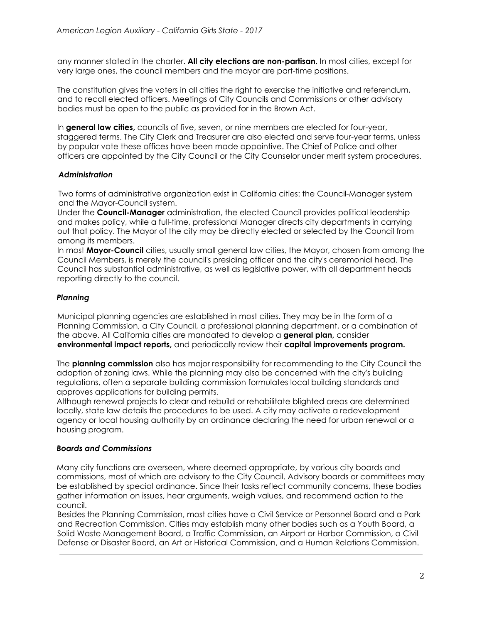any manner stated in the charter. **All city elections are non-partisan.** In most cities, except for very large ones, the council members and the mayor are part-time positions.

The constitution gives the voters in all cities the right to exercise the initiative and referendum, and to recall elected officers. Meetings of City Councils and Commissions or other advisory bodies must be open to the public as provided for in the Brown Act.

In **general law cities,** councils of five, seven, or nine members are elected for four-year, staggered terms. The City Clerk and Treasurer are also elected and serve four-year terms, unless by popular vote these offices have been made appointive. The Chief of Police and other officers are appointed by the City Council or the City Counselor under merit system procedures.

# *Administration*

Two forms of administrative organization exist in California cities: the Council-Manager system and the Mayor-Council system.

Under the **Council-Manager** administration, the elected Council provides political leadership and makes policy, while a full-time, professional Manager directs city departments in carrying out that policy. The Mayor of the city may be directly elected or selected by the Council from among its members.

In most **Mayor-Council** cities, usually small general law cities, the Mayor, chosen from among the Council Members, is merely the council's presiding officer and the city's ceremonial head. The Council has substantial administrative, as well as legislative power, with all department heads reporting directly to the council.

# *Planning*

Municipal planning agencies are established in most cities. They may be in the form of a Planning Commission, a City Council, a professional planning department, or a combination of the above. All California cities are mandated to develop a **general plan,** consider **environmental impact reports,** and periodically review their **capital improvements program.**

The **planning commission** also has major responsibility for recommending to the City Council the adoption of zoning laws. While the planning may also be concerned with the city's building regulations, often a separate building commission formulates local building standards and approves applications for building permits.

Although renewal projects to clear and rebuild or rehabilitate blighted areas are determined locally, state law details the procedures to be used. A city may activate a redevelopment agency or local housing authority by an ordinance declaring the need for urban renewal or a housing program.

# *Boards and Commissions*

Many city functions are overseen, where deemed appropriate, by various city boards and commissions, most of which are advisory to the City Council. Advisory boards or committees may be established by special ordinance. Since their tasks reflect community concerns, these bodies gather information on issues, hear arguments, weigh values, and recommend action to the council.

Besides the Planning Commission, most cities have a Civil Service or Personnel Board and a Park and Recreation Commission. Cities may establish many other bodies such as a Youth Board, a Solid Waste Management Board, a Traffic Commission, an Airport or Harbor Commission, a Civil Defense or Disaster Board, an Art or Historical Commission, and a Human Relations Commission.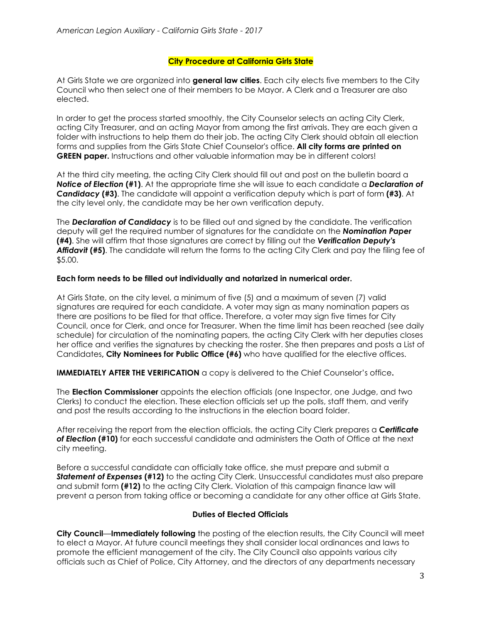## **City Procedure at California Girls State**

At Girls State we are organized into **general law cities**. Each city elects five members to the City Council who then select one of their members to be Mayor. A Clerk and a Treasurer are also elected.

In order to get the process started smoothly, the City Counselor selects an acting City Clerk, acting City Treasurer, and an acting Mayor from among the first arrivals. They are each given a folder with instructions to help them do their job. The acting City Clerk should obtain all election forms and supplies from the Girls State Chief Counselor's office. **All city forms are printed on GREEN paper.** Instructions and other valuable information may be in different colors!

At the third city meeting, the acting City Clerk should fill out and post on the bulletin board a *Notice of Election* **(#1)**. At the appropriate time she will issue to each candidate a *Declaration of Candidacy* **(#3)**. The candidate will appoint a verification deputy which is part of form **(#3)**. At the city level only, the candidate may be her own verification deputy.

The *Declaration of Candidacy* is to be filled out and signed by the candidate. The verification deputy will get the required number of signatures for the candidate on the *Nomination Paper* **(#4)**. She will affirm that those signatures are correct by filling out the *Verification Deputy's Affidavit* **(#5)**. The candidate will return the forms to the acting City Clerk and pay the filing fee of \$5.00.

#### **Each form needs to be filled out individually and notarized in numerical order.**

At Girls State, on the city level, a minimum of five (5) and a maximum of seven (7) valid signatures are required for each candidate. A voter may sign as many nomination papers as there are positions to be filed for that office. Therefore, a voter may sign five times for City Council, once for Clerk, and once for Treasurer. When the time limit has been reached (see daily schedule) for circulation of the nominating papers, the acting City Clerk with her deputies closes her office and verifies the signatures by checking the roster. She then prepares and posts a List of Candidates**, City Nominees for Public Office (#6)** who have qualified for the elective offices.

**IMMEDIATELY AFTER THE VERIFICATION** a copy is delivered to the Chief Counselor's office**.**

The **Election Commissioner** appoints the election officials (one Inspector, one Judge, and two Clerks) to conduct the election. These election officials set up the polls, staff them, and verify and post the results according to the instructions in the election board folder.

After receiving the report from the election officials, the acting City Clerk prepares a *Certificate of Election* **(#10)** for each successful candidate and administers the Oath of Office at the next city meeting.

Before a successful candidate can officially take office, she must prepare and submit a *Statement of Expenses* **(#12)** to the acting City Clerk. Unsuccessful candidates must also prepare and submit form **(#12)** to the acting City Clerk. Violation of this campaign finance law will prevent a person from taking office or becoming a candidate for any other office at Girls State.

# **Duties of Elected Officials**

**City Council**—**Immediately following** the posting of the election results, the City Council will meet to elect a Mayor. At future council meetings they shall consider local ordinances and laws to promote the efficient management of the city. The City Council also appoints various city officials such as Chief of Police, City Attorney, and the directors of any departments necessary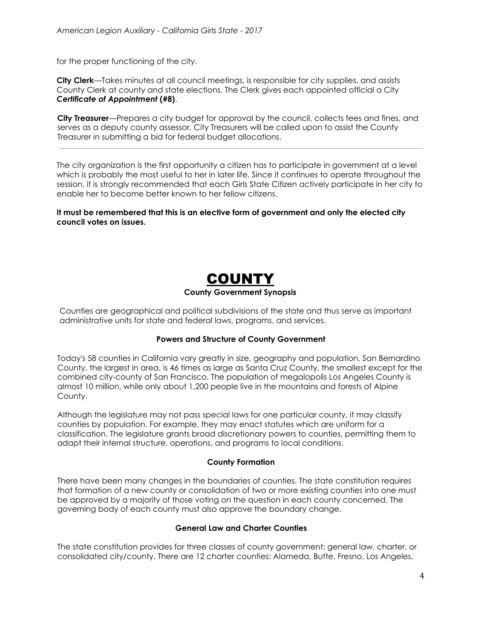for the proper functioning of the city.

**City Clerk**—Takes minutes at all council meetings, is responsible for city supplies, and assists County Clerk at county and state elections. The Clerk gives each appointed official a City *Certificate of Appointment* **(#8)**.

**City Treasurer**—Prepares a city budget for approval by the council, collects fees and fines, and serves as a deputy county assessor. City Treasurers will be called upon to assist the County Treasurer in submitting a bid for federal budget allocations.

The city organization is the first opportunity a citizen has to participate in government at a level which is probably the most useful to her in later life. Since it continues to operate throughout the session, it is strongly recommended that each Girls State Citizen actively participate in her city to enable her to become better known to her fellow citizens.

**It must be remembered that this is an elective form of government and only the elected city council votes on issues.**

# COUNTY **County Government Synopsis**

Counties are geographical and political subdivisions of the state and thus serve as important administrative units for state and federal laws, programs, and services.

# **Powers and Structure of County Government**

Today's 58 counties in California vary greatly in size, geography and population. San Bernardino County, the largest in area, is 46 times as large as Santa Cruz County, the smallest except for the combined city-county of San Francisco. The population of megalopolis Los Angeles County is almost 10 million, while only about 1,200 people live in the mountains and forests of Alpine County.

Although the legislature may not pass special laws for one particular county, it may classify counties by population. For example, they may enact statutes which are uniform for a classification. The legislature grants broad discretionary powers to counties, permitting them to adapt their internal structure, operations, and programs to local conditions.

#### **County Formation**

There have been many changes in the boundaries of counties. The state constitution requires that formation of a new county or consolidation of two or more existing counties into one must be approved by a majority of those voting on the question in each county concerned. The governing body of each county must also approve the boundary change.

# **General Law and Charter Counties**

The state constitution provides for three classes of county government: general law, charter, or consolidated city/county. There are 12 charter counties: Alameda, Butte, Fresno, Los Angeles,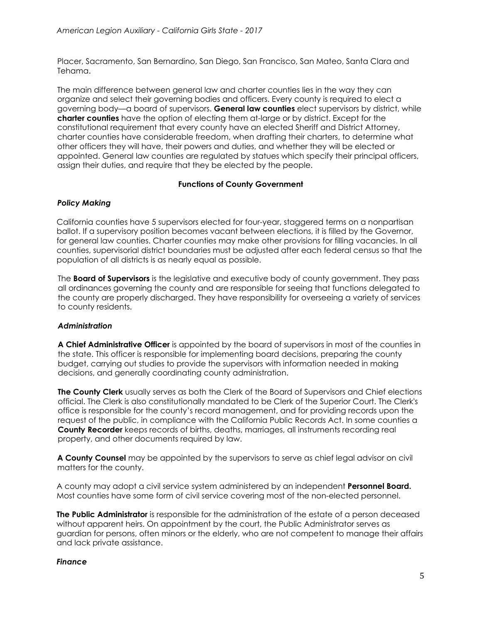Placer, Sacramento, San Bernardino, San Diego, San Francisco, San Mateo, Santa Clara and Tehama.

The main difference between general law and charter counties lies in the way they can organize and select their governing bodies and officers. Every county is required to elect a governing body—a board of supervisors. **General law counties** elect supervisors by district, while **charter counties** have the option of electing them at-large or by district. Except for the constitutional requirement that every county have an elected Sheriff and District Attorney, charter counties have considerable freedom, when drafting their charters, to determine what other officers they will have, their powers and duties, and whether they will be elected or appointed. General law counties are regulated by statues which specify their principal officers, assign their duties, and require that they be elected by the people.

# **Functions of County Government**

# *Policy Making*

California counties have 5 supervisors elected for four-year, staggered terms on a nonpartisan ballot. If a supervisory position becomes vacant between elections, it is filled by the Governor, for general law counties. Charter counties may make other provisions for filling vacancies. In all counties, supervisorial district boundaries must be adjusted after each federal census so that the population of all districts is as nearly equal as possible.

The **Board of Supervisors** is the legislative and executive body of county government. They pass all ordinances governing the county and are responsible for seeing that functions delegated to the county are properly discharged. They have responsibility for overseeing a variety of services to county residents.

# *Administration*

**A Chief Administrative Officer** is appointed by the board of supervisors in most of the counties in the state. This officer is responsible for implementing board decisions, preparing the county budget, carrying out studies to provide the supervisors with information needed in making decisions, and generally coordinating county administration.

**The County Clerk** usually serves as both the Clerk of the Board of Supervisors and Chief elections official. The Clerk is also constitutionally mandated to be Clerk of the Superior Court. The Clerk's office is responsible for the county's record management, and for providing records upon the request of the public, in compliance with the California Public Records Act. In some counties a **County Recorder** keeps records of births, deaths, marriages, all instruments recording real property, and other documents required by law.

**A County Counsel** may be appointed by the supervisors to serve as chief legal advisor on civil matters for the county.

A county may adopt a civil service system administered by an independent **Personnel Board.** Most counties have some form of civil service covering most of the non-elected personnel.

**The Public Administrator** is responsible for the administration of the estate of a person deceased without apparent heirs. On appointment by the court, the Public Administrator serves as guardian for persons, often minors or the elderly, who are not competent to manage their affairs and lack private assistance.

# *Finance*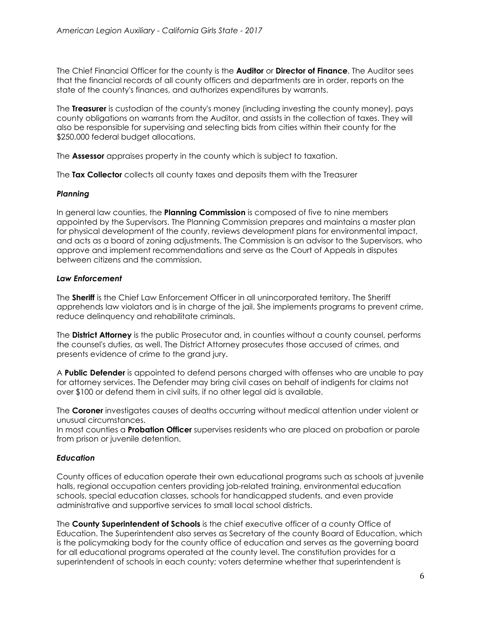The Chief Financial Officer for the county is the **Auditor** or **Director of Finance**. The Auditor sees that the financial records of all county officers and departments are in order, reports on the state of the county's finances, and authorizes expenditures by warrants.

The **Treasurer** is custodian of the county's money (including investing the county money), pays county obligations on warrants from the Auditor, and assists in the collection of taxes. They will also be responsible for supervising and selecting bids from cities within their county for the \$250,000 federal budget allocations.

The **Assessor** appraises property in the county which is subject to taxation.

The **Tax Collector** collects all county taxes and deposits them with the Treasurer

#### *Planning*

In general law counties, the **Planning Commission** is composed of five to nine members appointed by the Supervisors. The Planning Commission prepares and maintains a master plan for physical development of the county, reviews development plans for environmental impact, and acts as a board of zoning adjustments. The Commission is an advisor to the Supervisors, who approve and implement recommendations and serve as the Court of Appeals in disputes between citizens and the commission.

#### *Law Enforcement*

The **Sheriff** is the Chief Law Enforcement Officer in all unincorporated territory. The Sheriff apprehends law violators and is in charge of the jail. She implements programs to prevent crime, reduce delinquency and rehabilitate criminals.

The **District Attorney** is the public Prosecutor and, in counties without a county counsel, performs the counsel's duties, as well. The District Attorney prosecutes those accused of crimes, and presents evidence of crime to the grand jury.

A **Public Defender** is appointed to defend persons charged with offenses who are unable to pay for attorney services. The Defender may bring civil cases on behalf of indigents for claims not over \$100 or defend them in civil suits, if no other legal aid is available.

The **Coroner** investigates causes of deaths occurring without medical attention under violent or unusual circumstances.

In most counties a **Probation Officer** supervises residents who are placed on probation or parole from prison or juvenile detention.

# *Education*

County offices of education operate their own educational programs such as schools at juvenile halls, regional occupation centers providing job-related training, environmental education schools, special education classes, schools for handicapped students, and even provide administrative and supportive services to small local school districts.

The **County Superintendent of Schools** is the chief executive officer of a county Office of Education. The Superintendent also serves as Secretary of the county Board of Education, which is the policymaking body for the county office of education and serves as the governing board for all educational programs operated at the county level. The constitution provides for a superintendent of schools in each county; voters determine whether that superintendent is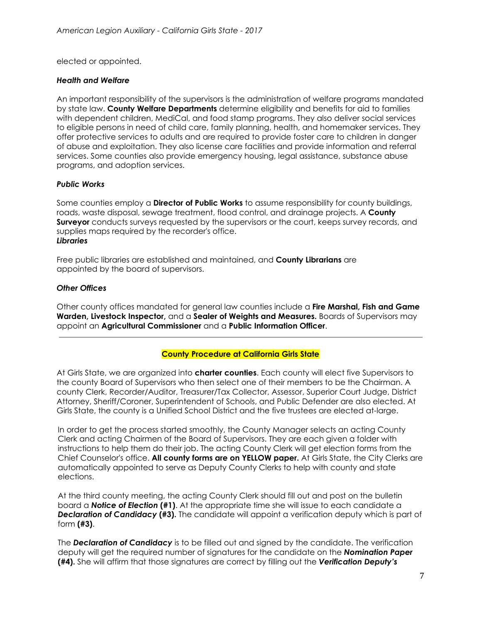elected or appointed.

## *Health and Welfare*

An important responsibility of the supervisors is the administration of welfare programs mandated by state law. **County Welfare Departments** determine eligibility and benefits for aid to families with dependent children, MediCal, and food stamp programs. They also deliver social services to eligible persons in need of child care, family planning, health, and homemaker services. They offer protective services to adults and are required to provide foster care to children in danger of abuse and exploitation. They also license care facilities and provide information and referral services. Some counties also provide emergency housing, legal assistance, substance abuse programs, and adoption services.

# *Public Works*

Some counties employ a **Director of Public Works** to assume responsibility for county buildings, roads, waste disposal, sewage treatment, flood control, and drainage projects. A **County Surveyor** conducts surveys requested by the supervisors or the court, keeps survey records, and supplies maps required by the recorder's office. *Libraries*

Free public libraries are established and maintained, and **County Librarians** are appointed by the board of supervisors.

# *Other Offices*

Other county offices mandated for general law counties include a **Fire Marshal, Fish and Game Warden, Livestock Inspector,** and a **Sealer of Weights and Measures.** Boards of Supervisors may appoint an **Agricultural Commissioner** and a **Public Information Officer**.

# **County Procedure at California Girls State**

At Girls State, we are organized into **charter counties**. Each county will elect five Supervisors to the county Board of Supervisors who then select one of their members to be the Chairman. A county Clerk, Recorder/Auditor, Treasurer/Tax Collector, Assessor, Superior Court Judge, District Attorney, Sheriff/Coroner, Superintendent of Schools, and Public Defender are also elected. At Girls State, the county is a Unified School District and the five trustees are elected at-large.

In order to get the process started smoothly, the County Manager selects an acting County Clerk and acting Chairmen of the Board of Supervisors. They are each given a folder with instructions to help them do their job. The acting County Clerk will get election forms from the Chief Counselor's office. **All county forms are on YELLOW paper.** At Girls State, the City Clerks are automatically appointed to serve as Deputy County Clerks to help with county and state elections.

At the third county meeting, the acting County Clerk should fill out and post on the bulletin board a *Notice of Election* **(#1)**. At the appropriate time she will issue to each candidate a *Declaration of Candidacy* **(#3).** The candidate will appoint a verification deputy which is part of form **(#3)**.

The *Declaration of Candidacy* is to be filled out and signed by the candidate. The verification deputy will get the required number of signatures for the candidate on the *Nomination Paper* **(#4).** She will affirm that those signatures are correct by filling out the *Verification Deputy's*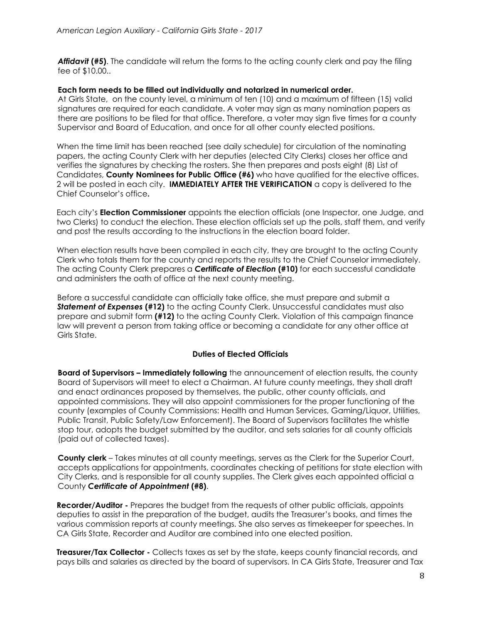*Affidavit* **(#5)**. The candidate will return the forms to the acting county clerk and pay the filing fee of \$10.00..

## **Each form needs to be filled out individually and notarized in numerical order.**

At Girls State, on the county level, a minimum of ten (10) and a maximum of fifteen (15) valid signatures are required for each candidate. A voter may sign as many nomination papers as there are positions to be filed for that office. Therefore, a voter may sign five times for a county Supervisor and Board of Education, and once for all other county elected positions.

When the time limit has been reached (see daily schedule) for circulation of the nominating papers, the acting County Clerk with her deputies (elected City Clerks) closes her office and verifies the signatures by checking the rosters. She then prepares and posts eight (8) List of Candidates, **County Nominees for Public Office (#6)** who have qualified for the elective offices. 2 will be posted in each city. **IMMEDIATELY AFTER THE VERIFICATION** a copy is delivered to the Chief Counselor's office**.**

Each city's **Election Commissioner** appoints the election officials (one Inspector, one Judge, and two Clerks) to conduct the election. These election officials set up the polls, staff them, and verify and post the results according to the instructions in the election board folder.

When election results have been compiled in each city, they are brought to the acting County Clerk who totals them for the county and reports the results to the Chief Counselor immediately. The acting County Clerk prepares a *Certificate of Election* **(#10)** for each successful candidate and administers the oath of office at the next county meeting.

Before a successful candidate can officially take office, she must prepare and submit a *Statement of Expenses* **(#12)** to the acting County Clerk. Unsuccessful candidates must also prepare and submit form **(#12)** to the acting County Clerk. Violation of this campaign finance law will prevent a person from taking office or becoming a candidate for any other office at Girls State.

# **Duties of Elected Officials**

**Board of Supervisors – Immediately following** the announcement of election results, the county Board of Supervisors will meet to elect a Chairman. At future county meetings, they shall draft and enact ordinances proposed by themselves, the public, other county officials, and appointed commissions. They will also appoint commissioners for the proper functioning of the county (examples of County Commissions: Health and Human Services, Gaming/Liquor, Utilities, Public Transit, Public Safety/Law Enforcement). The Board of Supervisors facilitates the whistle stop tour, adopts the budget submitted by the auditor, and sets salaries for all county officials (paid out of collected taxes).

**County clerk** – Takes minutes at all county meetings, serves as the Clerk for the Superior Court, accepts applications for appointments, coordinates checking of petitions for state election with City Clerks, and is responsible for all county supplies. The Clerk gives each appointed official a County *Certificate of Appointment* **(#8)**.

**Recorder/Auditor -** Prepares the budget from the requests of other public officials, appoints deputies to assist in the preparation of the budget, audits the Treasurer's books, and times the various commission reports at county meetings. She also serves as timekeeper for speeches. In CA Girls State, Recorder and Auditor are combined into one elected position.

**Treasurer/Tax Collector -** Collects taxes as set by the state, keeps county financial records, and pays bills and salaries as directed by the board of supervisors. In CA Girls State, Treasurer and Tax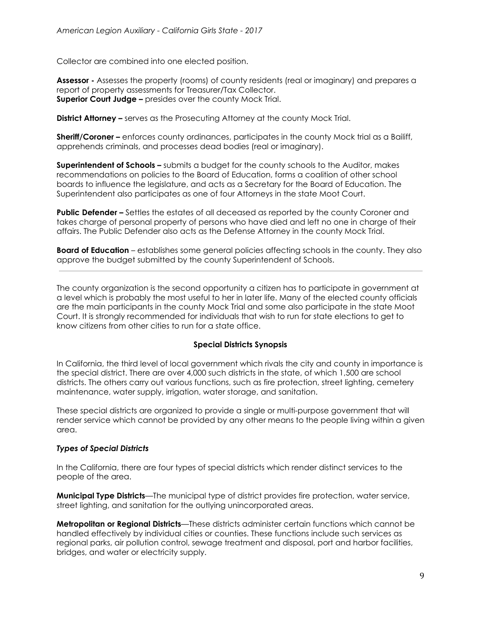Collector are combined into one elected position.

**Assessor -** Assesses the property (rooms) of county residents (real or imaginary) and prepares a report of property assessments for Treasurer/Tax Collector. **Superior Court Judge –** presides over the county Mock Trial.

**District Attorney –** serves as the Prosecuting Attorney at the county Mock Trial.

**Sheriff/Coroner –** enforces county ordinances, participates in the county Mock trial as a Bailiff, apprehends criminals, and processes dead bodies (real or imaginary).

**Superintendent of Schools –** submits a budget for the county schools to the Auditor, makes recommendations on policies to the Board of Education, forms a coalition of other school boards to influence the legislature, and acts as a Secretary for the Board of Education. The Superintendent also participates as one of four Attorneys in the state Moot Court.

**Public Defender –** Settles the estates of all deceased as reported by the county Coroner and takes charge of personal property of persons who have died and left no one in charge of their affairs. The Public Defender also acts as the Defense Attorney in the county Mock Trial.

**Board of Education** – establishes some general policies affecting schools in the county. They also approve the budget submitted by the county Superintendent of Schools.

The county organization is the second opportunity a citizen has to participate in government at a level which is probably the most useful to her in later life. Many of the elected county officials are the main participants in the county Mock Trial and some also participate in the state Moot Court. It is strongly recommended for individuals that wish to run for state elections to get to know citizens from other cities to run for a state office.

# **Special Districts Synopsis**

In California, the third level of local government which rivals the city and county in importance is the special district. There are over 4,000 such districts in the state, of which 1,500 are school districts. The others carry out various functions, such as fire protection, street lighting, cemetery maintenance, water supply, irrigation, water storage, and sanitation.

These special districts are organized to provide a single or multi-purpose government that will render service which cannot be provided by any other means to the people living within a given area.

# *Types of Special Districts*

In the California, there are four types of special districts which render distinct services to the people of the area.

**Municipal Type Districts**—The municipal type of district provides fire protection, water service, street lighting, and sanitation for the outlying unincorporated areas.

**Metropolitan or Regional Districts**—These districts administer certain functions which cannot be handled effectively by individual cities or counties. These functions include such services as regional parks, air pollution control, sewage treatment and disposal, port and harbor facilities, bridges, and water or electricity supply.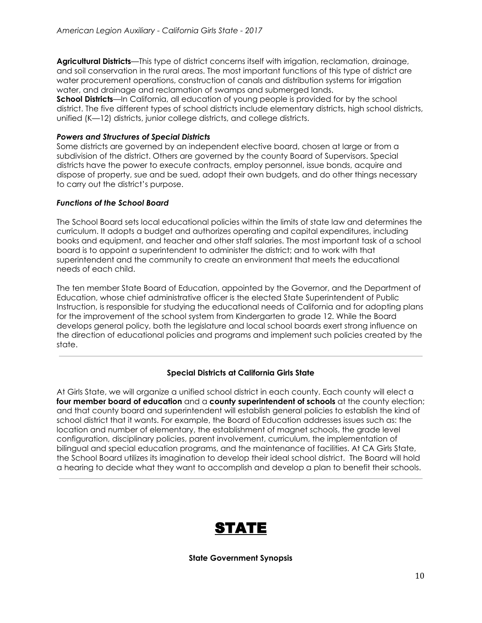**Agricultural Districts**—This type of district concerns itself with irrigation, reclamation, drainage, and soil conservation in the rural areas. The most important functions of this type of district are water procurement operations, construction of canals and distribution systems for irrigation water, and drainage and reclamation of swamps and submerged lands. **School Districts**—In California, all education of young people is provided for by the school district. The five different types of school districts include elementary districts, high school districts, unified (K—12) districts, junior college districts, and college districts.

## *Powers and Structures of Special Districts*

Some districts are governed by an independent elective board, chosen at large or from a subdivision of the district. Others are governed by the county Board of Supervisors. Special districts have the power to execute contracts, employ personnel, issue bonds, acquire and dispose of property, sue and be sued, adopt their own budgets, and do other things necessary to carry out the district's purpose.

#### *Functions of the School Board*

The School Board sets local educational policies within the limits of state law and determines the curriculum. It adopts a budget and authorizes operating and capital expenditures, including books and equipment, and teacher and other staff salaries. The most important task of a school board is to appoint a superintendent to administer the district; and to work with that superintendent and the community to create an environment that meets the educational needs of each child.

The ten member State Board of Education, appointed by the Governor, and the Department of Education, whose chief administrative officer is the elected State Superintendent of Public Instruction, is responsible for studying the educational needs of California and for adopting plans for the improvement of the school system from Kindergarten to grade 12. While the Board develops general policy, both the legislature and local school boards exert strong influence on the direction of educational policies and programs and implement such policies created by the state.

# **Special Districts at California Girls State**

At Girls State, we will organize a unified school district in each county. Each county will elect a **four member board of education** and a **county superintendent of schools** at the county election; and that county board and superintendent will establish general policies to establish the kind of school district that it wants. For example, the Board of Education addresses issues such as: the location and number of elementary, the establishment of magnet schools, the grade level configuration, disciplinary policies, parent involvement, curriculum, the implementation of bilingual and special education programs, and the maintenance of facilities. At CA Girls State, the School Board utilizes its imagination to develop their ideal school district. The Board will hold a hearing to decide what they want to accomplish and develop a plan to benefit their schools.



**State Government Synopsis**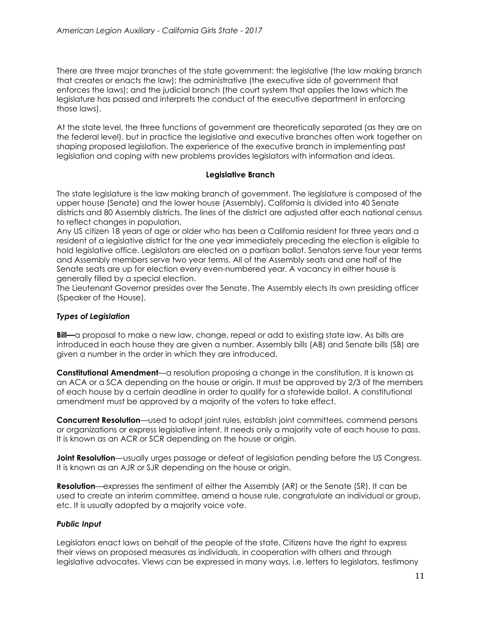There are three major branches of the state government: the legislative (the law making branch that creates or enacts the law); the administrative (the executive side of government that enforces the laws); and the judicial branch (the court system that applies the laws which the legislature has passed and interprets the conduct of the executive department in enforcing those laws).

At the state level, the three functions of government are theoretically separated (as they are on the federal level), but in practice the legislative and executive branches often work together on shaping proposed legislation. The experience of the executive branch in implementing past legislation and coping with new problems provides legislators with information and ideas.

#### **Legislative Branch**

The state legislature is the law making branch of government. The legislature is composed of the upper house (Senate) and the lower house (Assembly). California is divided into 40 Senate districts and 80 Assembly districts. The lines of the district are adjusted after each national census to reflect changes in population.

Any US citizen 18 years of age or older who has been a California resident for three years and a resident of a legislative district for the one year immediately preceding the election is eligible to hold legislative office. Legislators are elected on a partisan ballot. Senators serve four year terms and Assembly members serve two year terms. All of the Assembly seats and one half of the Senate seats are up for election every even-numbered year. A vacancy in either house is generally filled by a special election.

The Lieutenant Governor presides over the Senate. The Assembly elects its own presiding officer (Speaker of the House).

# *Types of Legislation*

**Bill—**a proposal to make a new law, change, repeal or add to existing state law. As bills are introduced in each house they are given a number. Assembly bills (AB) and Senate bills (SB) are given a number in the order in which they are introduced.

**Constitutional Amendment**—a resolution proposing a change in the constitution. It is known as an ACA or a SCA depending on the house or origin. It must be approved by 2/3 of the members of each house by a certain deadline in order to qualify for a statewide ballot. A constitutional amendment must be approved by a majority of the voters to take effect.

**Concurrent Resolution**—used to adopt joint rules, establish joint committees, commend persons or organizations or express legislative intent. It needs only a majority vote of each house to pass. It is known as an ACR or SCR depending on the house or origin.

**Joint Resolution**—usually urges passage or defeat of legislation pending before the US Congress. It is known as an AJR or SJR depending on the house or origin.

**Resolution**—expresses the sentiment of either the Assembly (AR) or the Senate (SR). It can be used to create an interim committee, amend a house rule, congratulate an individual or group, etc. It is usually adopted by a majority voice vote.

# *Public Input*

Legislators enact laws on behalf of the people of the state. Citizens have the right to express their views on proposed measures as individuals, in cooperation with others and through legislative advocates. Views can be expressed in many ways, i.e. letters to legislators, testimony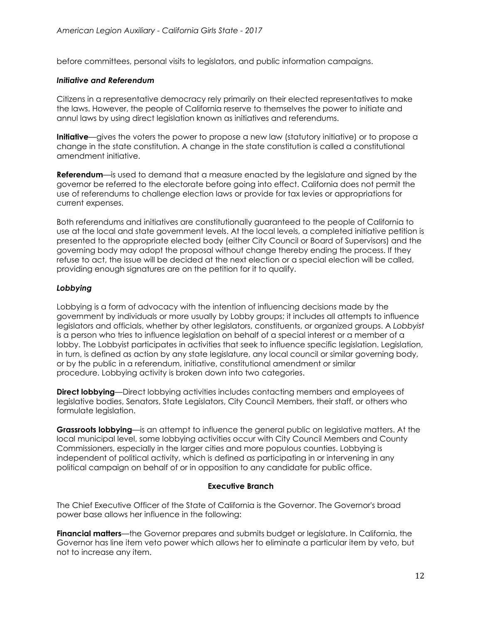before committees, personal visits to legislators, and public information campaigns.

## *Initiative and Referendum*

Citizens in a representative democracy rely primarily on their elected representatives to make the laws. However, the people of California reserve to themselves the power to initiate and annul laws by using direct legislation known as initiatives and referendums.

**Initiative**—gives the voters the power to propose a new law (statutory initiative) or to propose a change in the state constitution. A change in the state constitution is called a constitutional amendment initiative.

**Referendum**—is used to demand that a measure enacted by the legislature and signed by the governor be referred to the electorate before going into effect. California does not permit the use of referendums to challenge election laws or provide for tax levies or appropriations for current expenses.

Both referendums and initiatives are constitutionally guaranteed to the people of California to use at the local and state government levels. At the local levels, a completed initiative petition is presented to the appropriate elected body (either City Council or Board of Supervisors) and the governing body may adopt the proposal without change thereby ending the process. If they refuse to act, the issue will be decided at the next election or a special election will be called, providing enough signatures are on the petition for it to qualify.

# *Lobbying*

Lobbying is a form of advocacy with the intention of influencing decisions made by the government by individuals or more usually by Lobby groups; it includes all attempts to influence legislators and officials, whether by other legislators, constituents, or organized groups. A *Lobbyist* is a person who tries to influence legislation on behalf of a special interest or a member of a lobby. The Lobbyist participates in activities that seek to influence specific legislation. Legislation, in turn, is defined as action by any state legislature, any local council or similar governing body, or by the public in a referendum, initiative, constitutional amendment or similar procedure. Lobbying activity is broken down into two categories.

**Direct lobbying**—Direct lobbying activities includes contacting members and employees of legislative bodies, Senators, State Legislators, City Council Members, their staff, or others who formulate legislation.

**Grassroots lobbying**—is an attempt to influence the general public on legislative matters. At the local municipal level, some lobbying activities occur with City Council Members and County Commissioners, especially in the larger cities and more populous counties. Lobbying is independent of political activity, which is defined as participating in or intervening in any political campaign on behalf of or in opposition to any candidate for public office.

# **Executive Branch**

The Chief Executive Officer of the State of California is the Governor. The Governor's broad power base allows her influence in the following:

**Financial matters**—the Governor prepares and submits budget or legislature. In California, the Governor has line item veto power which allows her to eliminate a particular item by veto, but not to increase any item.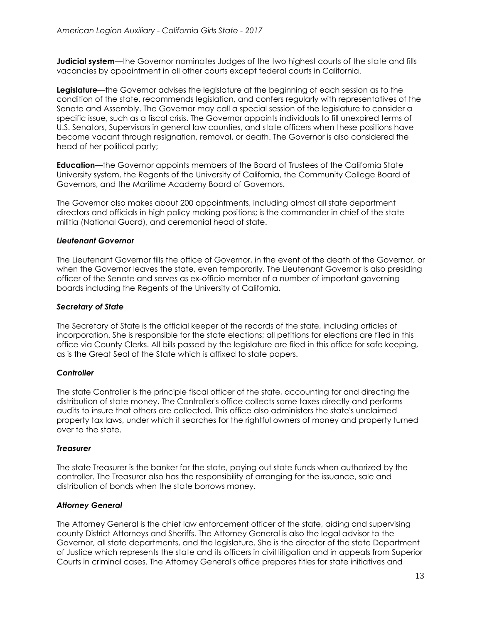**Judicial system**—the Governor nominates Judges of the two highest courts of the state and fills vacancies by appointment in all other courts except federal courts in California.

**Legislature**—the Governor advises the legislature at the beginning of each session as to the condition of the state, recommends legislation, and confers regularly with representatives of the Senate and Assembly. The Governor may call a special session of the legislature to consider a specific issue, such as a fiscal crisis. The Governor appoints individuals to fill unexpired terms of U.S. Senators, Supervisors in general law counties, and state officers when these positions have become vacant through resignation, removal, or death. The Governor is also considered the head of her political party;

**Education**—the Governor appoints members of the Board of Trustees of the California State University system, the Regents of the University of California, the Community College Board of Governors, and the Maritime Academy Board of Governors.

The Governor also makes about 200 appointments, including almost all state department directors and officials in high policy making positions; is the commander in chief of the state militia (National Guard), and ceremonial head of state.

# *Lieutenant Governor*

The Lieutenant Governor fills the office of Governor, in the event of the death of the Governor, or when the Governor leaves the state, even temporarily. The Lieutenant Governor is also presiding officer of the Senate and serves as ex-officio member of a number of important governing boards including the Regents of the University of California.

# *Secretary of State*

The Secretary of State is the official keeper of the records of the state, including articles of incorporation. She is responsible for the state elections; all petitions for elections are filed in this office via County Clerks. All bills passed by the legislature are filed in this office for safe keeping, as is the Great Seal of the State which is affixed to state papers.

# *Controller*

The state Controller is the principle fiscal officer of the state, accounting for and directing the distribution of state money. The Controller's office collects some taxes directly and performs audits to insure that others are collected. This office also administers the state's unclaimed property tax laws, under which it searches for the rightful owners of money and property turned over to the state.

#### *Treasurer*

The state Treasurer is the banker for the state, paying out state funds when authorized by the controller. The Treasurer also has the responsibility of arranging for the issuance, sale and distribution of bonds when the state borrows money.

# *Attorney General*

The Attorney General is the chief law enforcement officer of the state, aiding and supervising county District Attorneys and Sheriffs. The Attorney General is also the legal advisor to the Governor, all state departments, and the legislature. She is the director of the state Department of Justice which represents the state and its officers in civil litigation and in appeals from Superior Courts in criminal cases. The Attorney General's office prepares titles for state initiatives and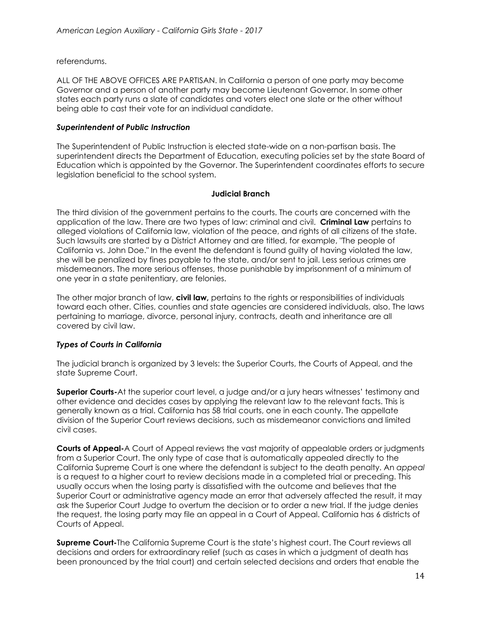referendums.

ALL OF THE ABOVE OFFICES ARE PARTISAN. In California a person of one party may become Governor and a person of another party may become Lieutenant Governor. In some other states each party runs a slate of candidates and voters elect one slate or the other without being able to cast their vote for an individual candidate.

# *Superintendent of Public Instruction*

The Superintendent of Public Instruction is elected state-wide on a non-partisan basis. The superintendent directs the Department of Education, executing policies set by the state Board of Education which is appointed by the Governor. The Superintendent coordinates efforts to secure legislation beneficial to the school system.

#### **Judicial Branch**

The third division of the government pertains to the courts. The courts are concerned with the application of the law. There are two types of law: criminal and civil. **Criminal Law** pertains to alleged violations of California law, violation of the peace, and rights of all citizens of the state. Such lawsuits are started by a District Attorney and are titled, for example, "The people of California vs. John Doe." In the event the defendant is found guilty of having violated the law, she will be penalized by fines payable to the state, and/or sent to jail. Less serious crimes are misdemeanors. The more serious offenses, those punishable by imprisonment of a minimum of one year in a state penitentiary, are felonies.

The other major branch of law, **civil law,** pertains to the rights or responsibilities of individuals toward each other. Cities, counties and state agencies are considered individuals, also. The laws pertaining to marriage, divorce, personal injury, contracts, death and inheritance are all covered by civil law.

# *Types of Courts in California*

The judicial branch is organized by 3 levels: the Superior Courts, the Courts of Appeal, and the state Supreme Court.

**Superior Courts-**At the superior court level, a judge and/or a jury hears witnesses' testimony and other evidence and decides cases by applying the relevant law to the relevant facts. This is generally known as a trial. California has 58 trial courts, one in each county. The appellate division of the Superior Court reviews decisions, such as misdemeanor convictions and limited civil cases.

**Courts of Appeal-**A Court of Appeal reviews the vast majority of appealable orders or judgments from a Superior Court. The only type of case that is automatically appealed directly to the California Supreme Court is one where the defendant is subject to the death penalty. An *appeal* is a request to a higher court to review decisions made in a completed trial or preceding. This usually occurs when the losing party is dissatisfied with the outcome and believes that the Superior Court or administrative agency made an error that adversely affected the result, it may ask the Superior Court Judge to overturn the decision or to order a new trial. If the judge denies the request, the losing party may file an appeal in a Court of Appeal. California has 6 districts of Courts of Appeal.

**Supreme Court-**The California Supreme Court is the state's highest court. The Court reviews all decisions and orders for extraordinary relief (such as cases in which a judgment of death has been pronounced by the trial court) and certain selected decisions and orders that enable the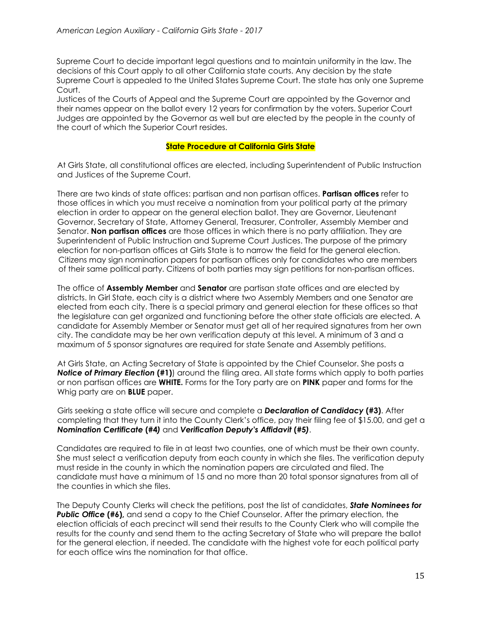Supreme Court to decide important legal questions and to maintain uniformity in the law. The decisions of this Court apply to all other California state courts. Any decision by the state Supreme Court is appealed to the United States Supreme Court. The state has only one Supreme Court.

Justices of the Courts of Appeal and the Supreme Court are appointed by the Governor and their names appear on the ballot every 12 years for confirmation by the voters. Superior Court Judges are appointed by the Governor as well but are elected by the people in the county of the court of which the Superior Court resides.

# **State Procedure at California Girls State**

At Girls State, all constitutional offices are elected, including Superintendent of Public Instruction and Justices of the Supreme Court.

There are two kinds of state offices: partisan and non partisan offices. **Partisan offices** refer to those offices in which you must receive a nomination from your political party at the primary election in order to appear on the general election ballot. They are Governor, Lieutenant Governor, Secretary of State, Attorney General, Treasurer, Controller, Assembly Member and Senator. **Non partisan offices** are those offices in which there is no party affiliation. They are Superintendent of Public Instruction and Supreme Court Justices. The purpose of the primary election for non-partisan offices at Girls State is to narrow the field for the general election. Citizens may sign nomination papers for partisan offices only for candidates who are members of their same political party. Citizens of both parties may sign petitions for non-partisan offices.

The office of **Assembly Member** and **Senator** are partisan state offices and are elected by districts. In Girl State, each city is a district where two Assembly Members and one Senator are elected from each city. There is a special primary and general election for these offices so that the legislature can get organized and functioning before the other state officials are elected. A candidate for Assembly Member or Senator must get all of her required signatures from her own city. The candidate may be her own verification deputy at this level. A minimum of 3 and a maximum of 5 sponsor signatures are required for state Senate and Assembly petitions.

At Girls State, an Acting Secretary of State is appointed by the Chief Counselor. She posts a *Notice of Primary Election* **(#1)**) around the filing area. All state forms which apply to both parties or non partisan offices are **WHITE.** Forms for the Tory party are on **PINK** paper and forms for the Whig party are on **BLUE** paper.

Girls seeking a state office will secure and complete a *Declaration of Candidacy* **(#3)**. After completing that they turn it into the County Clerk's office, pay their filing fee of \$15.00, and get a *Nomination Certificate* **(#4***)* and *Verification Deputy's Affidavit* **(#5***)*.

Candidates are required to file in at least two counties, one of which must be their own county. She must select a verification deputy from each county in which she files. The verification deputy must reside in the county in which the nomination papers are circulated and filed. The candidate must have a minimum of 15 and no more than 20 total sponsor signatures from all of the counties in which she files.

The Deputy County Clerks will check the petitions, post the list of candidates, *State Nominees for* **Public Office (#6),** and send a copy to the Chief Counselor. After the primary election, the election officials of each precinct will send their results to the County Clerk who will compile the results for the county and send them to the acting Secretary of State who will prepare the ballot for the general election, if needed. The candidate with the highest vote for each political party for each office wins the nomination for that office.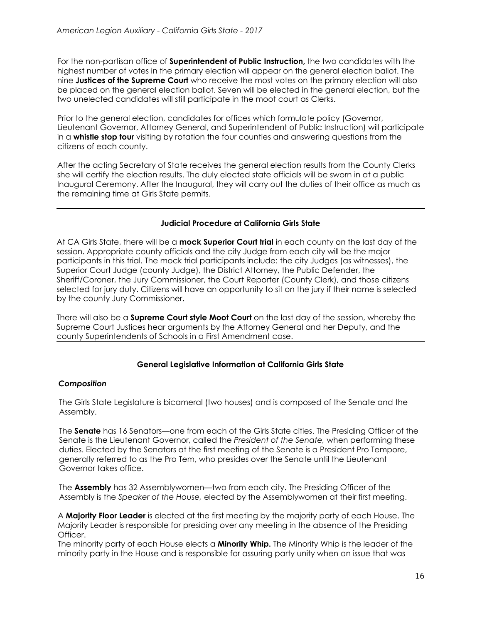For the non-partisan office of **Superintendent of Public Instruction,** the two candidates with the highest number of votes in the primary election will appear on the general election ballot. The nine **Justices of the Supreme Court** who receive the most votes on the primary election will also be placed on the general election ballot. Seven will be elected in the general election, but the two unelected candidates will still participate in the moot court as Clerks.

Prior to the general election, candidates for offices which formulate policy (Governor, Lieutenant Governor, Attorney General, and Superintendent of Public Instruction) will participate in a **whistle stop tour** visiting by rotation the four counties and answering questions from the citizens of each county.

After the acting Secretary of State receives the general election results from the County Clerks she will certify the election results. The duly elected state officials will be sworn in at a public Inaugural Ceremony. After the Inaugural, they will carry out the duties of their office as much as the remaining time at Girls State permits.

# **Judicial Procedure at California Girls State**

At CA Girls State, there will be a **mock Superior Court trial** in each county on the last day of the session. Appropriate county officials and the city Judge from each city will be the major participants in this trial. The mock trial participants include: the city Judges (as witnesses), the Superior Court Judge (county Judge), the District Attorney, the Public Defender, the Sheriff/Coroner, the Jury Commissioner, the Court Reporter (County Clerk), and those citizens selected for jury duty. Citizens will have an opportunity to sit on the jury if their name is selected by the county Jury Commissioner.

There will also be a **Supreme Court style Moot Court** on the last day of the session, whereby the Supreme Court Justices hear arguments by the Attorney General and her Deputy, and the county Superintendents of Schools in a First Amendment case.

# **General Legislative Information at California Girls State**

# *Composition*

The Girls State Legislature is bicameral (two houses) and is composed of the Senate and the Assembly.

The **Senate** has 16 Senators—one from each of the Girls State cities. The Presiding Officer of the Senate is the Lieutenant Governor, called the *President of the Senate,* when performing these duties. Elected by the Senators at the first meeting of the Senate is a President Pro Tempore, generally referred to as the Pro Tem, who presides over the Senate until the Lieutenant Governor takes office.

The **Assembly** has 32 Assemblywomen—two from each city. The Presiding Officer of the Assembly is the *Speaker of the House,* elected by the Assemblywomen at their first meeting.

A **Majority Floor Leader** is elected at the first meeting by the majority party of each House. The Majority Leader is responsible for presiding over any meeting in the absence of the Presiding Officer.

The minority party of each House elects a **Minority Whip.** The Minority Whip is the leader of the minority party in the House and is responsible for assuring party unity when an issue that was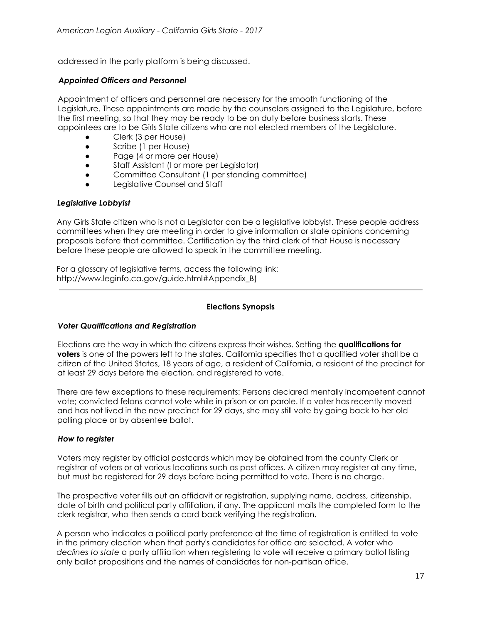addressed in the party platform is being discussed.

## *Appointed Officers and Personnel*

Appointment of officers and personnel are necessary for the smooth functioning of the Legislature. These appointments are made by the counselors assigned to the Legislature, before the first meeting, so that they may be ready to be on duty before business starts. These appointees are to be Girls State citizens who are not elected members of the Legislature.

- Clerk (3 per House)
- Scribe (1 per House)
- Page (4 or more per House)
- Staff Assistant (l or more per Legislator)
- Committee Consultant (1 per standing committee)
- Legislative Counsel and Staff

#### *Legislative Lobbyist*

Any Girls State citizen who is not a Legislator can be a legislative lobbyist. These people address committees when they are meeting in order to give information or state opinions concerning proposals before that committee. Certification by the third clerk of that House is necessary before these people are allowed to speak in the committee meeting.

For a glossary of legislative terms, access the following link: http://www.leginfo.ca.gov/guide.html#Appendix\_B)

## **Elections Synopsis**

#### *Voter Qualifications and Registration*

Elections are the way in which the citizens express their wishes. Setting the **qualifications for voters** is one of the powers left to the states. California specifies that a qualified voter shall be a citizen of the United States, 18 years of age, a resident of California, a resident of the precinct for at least 29 days before the election, and registered to vote.

There are few exceptions to these requirements: Persons declared mentally incompetent cannot vote; convicted felons cannot vote while in prison or on parole. If a voter has recently moved and has not lived in the new precinct for 29 days, she may still vote by going back to her old polling place or by absentee ballot.

#### *How to register*

Voters may register by official postcards which may be obtained from the county Clerk or registrar of voters or at various locations such as post offices. A citizen may register at any time, but must be registered for 29 days before being permitted to vote. There is no charge.

The prospective voter fills out an affidavit or registration, supplying name, address, citizenship, date of birth and political party affiliation, if any. The applicant mails the completed form to the clerk registrar, who then sends a card back verifying the registration.

A person who indicates a political party preference at the time of registration is entitled to vote in the primary election when that party's candidates for office are selected. A voter who *declines to state* a party affiliation when registering to vote will receive a primary ballot listing only ballot propositions and the names of candidates for non-partisan office.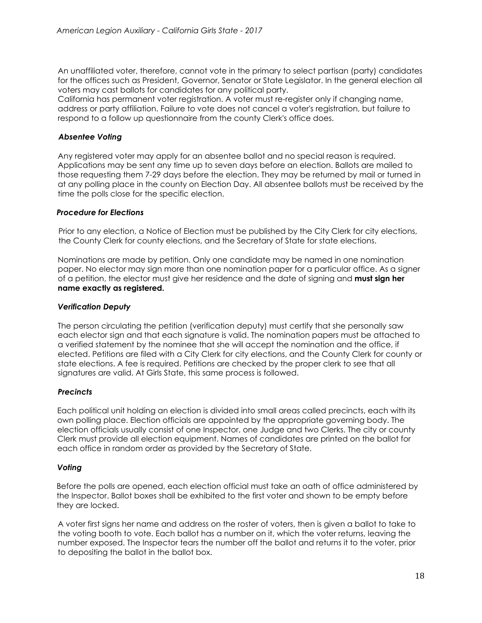An unaffiliated voter, therefore, cannot vote in the primary to select partisan (party) candidates for the offices such as President, Governor, Senator or State Legislator. In the general election all voters may cast ballots for candidates for any political party.

California has permanent voter registration. A voter must re-register only if changing name, address or party affiliation. Failure to vote does not cancel a voter's registration, but failure to respond to a follow up questionnaire from the county Clerk's office does.

# *Absentee Voting*

Any registered voter may apply for an absentee ballot and no special reason is required. Applications may be sent any time up to seven days before an election. Ballots are mailed to those requesting them 7-29 days before the election. They may be returned by mail or turned in at any polling place in the county on Election Day. All absentee ballots must be received by the time the polls close for the specific election.

# *Procedure for Elections*

Prior to any election, a Notice of Election must be published by the City Clerk for city elections, the County Clerk for county elections, and the Secretary of State for state elections.

Nominations are made by petition. Only one candidate may be named in one nomination paper. No elector may sign more than one nomination paper for a particular office. As a signer of a petition, the elector must give her residence and the date of signing and **must sign her name exactly as registered.**

# *Verification Deputy*

The person circulating the petition (verification deputy) must certify that she personally saw each elector sign and that each signature is valid. The nomination papers must be attached to a verified statement by the nominee that she will accept the nomination and the office, if elected. Petitions are filed with a City Clerk for city elections, and the County Clerk for county or state elections. A fee is required. Petitions are checked by the proper clerk to see that all signatures are valid. At Girls State, this same process is followed.

# *Precincts*

Each political unit holding an election is divided into small areas called precincts, each with its own polling place. Election officials are appointed by the appropriate governing body. The election officials usually consist of one Inspector, one Judge and two Clerks. The city or county Clerk must provide all election equipment. Names of candidates are printed on the ballot for each office in random order as provided by the Secretary of State.

# *Voting*

Before the polls are opened, each election official must take an oath of office administered by the Inspector. Ballot boxes shall be exhibited to the first voter and shown to be empty before they are locked.

A voter first signs her name and address on the roster of voters, then is given a ballot to take to the voting booth to vote. Each ballot has a number on it, which the voter returns, leaving the number exposed. The Inspector tears the number off the ballot and returns it to the voter, prior to depositing the ballot in the ballot box.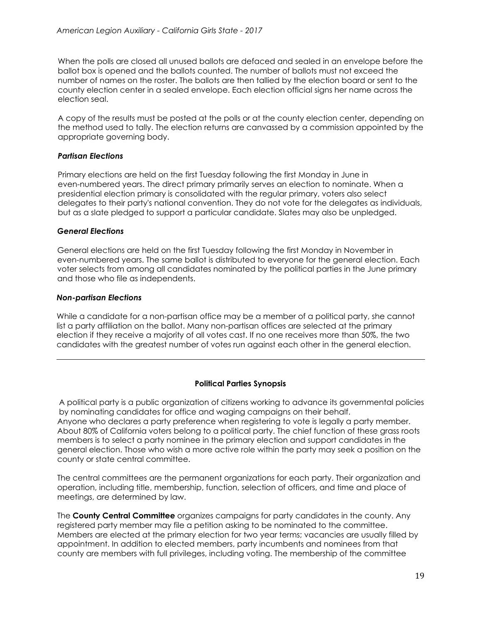When the polls are closed all unused ballots are defaced and sealed in an envelope before the ballot box is opened and the ballots counted. The number of ballots must not exceed the number of names on the roster. The ballots are then tallied by the election board or sent to the county election center in a sealed envelope. Each election official signs her name across the election seal.

A copy of the results must be posted at the polls or at the county election center, depending on the method used to tally. The election returns are canvassed by a commission appointed by the appropriate governing body.

# *Partisan Elections*

Primary elections are held on the first Tuesday following the first Monday in June in even-numbered years. The direct primary primarily serves an election to nominate. When a presidential election primary is consolidated with the regular primary, voters also select delegates to their party's national convention. They do not vote for the delegates as individuals, but as a slate pledged to support a particular candidate. Slates may also be unpledged.

# *General Elections*

General elections are held on the first Tuesday following the first Monday in November in even-numbered years. The same ballot is distributed to everyone for the general election. Each voter selects from among all candidates nominated by the political parties in the June primary and those who file as independents.

# *Non-partisan Elections*

While a candidate for a non-partisan office may be a member of a political party, she cannot list a party affiliation on the ballot. Many non-partisan offices are selected at the primary election if they receive a majority of all votes cast. If no one receives more than 50%, the two candidates with the greatest number of votes run against each other in the general election.

# **Political Parties Synopsis**

A political party is a public organization of citizens working to advance its governmental policies by nominating candidates for office and waging campaigns on their behalf. Anyone who declares a party preference when registering to vote is legally a party member. About 80% of California voters belong to a political party. The chief function of these grass roots members is to select a party nominee in the primary election and support candidates in the general election. Those who wish a more active role within the party may seek a position on the county or state central committee.

The central committees are the permanent organizations for each party. Their organization and operation, including title, membership, function, selection of officers, and time and place of meetings, are determined by law.

The **County Central Committee** organizes campaigns for party candidates in the county. Any registered party member may file a petition asking to be nominated to the committee. Members are elected at the primary election for two year terms; vacancies are usually filled by appointment. In addition to elected members, party incumbents and nominees from that county are members with full privileges, including voting. The membership of the committee